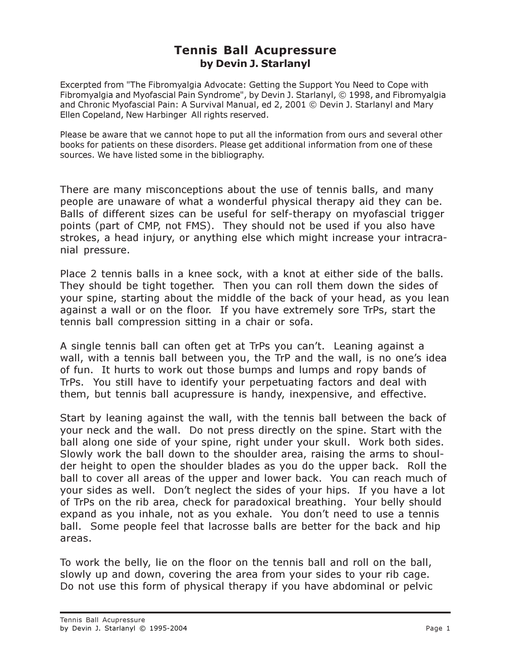## Tennis Ball Acupressure by Devin J. Starlanyl

Excerpted from "The Fibromyalgia Advocate: Getting the Support You Need to Cope with Fibromyalgia and Myofascial Pain Syndrome", by Devin J. Starlanyl, © 1998, and Fibromyalgia and Chronic Myofascial Pain: A Survival Manual, ed 2, 2001 © Devin J. Starlanyl and Mary Ellen Copeland, New Harbinger All rights reserved.

Please be aware that we cannot hope to put all the information from ours and several other books for patients on these disorders. Please get additional information from one of these sources. We have listed some in the bibliography.

There are many misconceptions about the use of tennis balls, and many people are unaware of what a wonderful physical therapy aid they can be. Balls of different sizes can be useful for self-therapy on myofascial trigger points (part of CMP, not FMS). They should not be used if you also have strokes, a head injury, or anything else which might increase your intracranial pressure.

Place 2 tennis balls in a knee sock, with a knot at either side of the balls. They should be tight together. Then you can roll them down the sides of your spine, starting about the middle of the back of your head, as you lean against a wall or on the floor. If you have extremely sore TrPs, start the tennis ball compression sitting in a chair or sofa.

A single tennis ball can often get at TrPs you can't. Leaning against a wall, with a tennis ball between you, the TrP and the wall, is no one's idea of fun. It hurts to work out those bumps and lumps and ropy bands of TrPs. You still have to identify your perpetuating factors and deal with them, but tennis ball acupressure is handy, inexpensive, and effective.

Start by leaning against the wall, with the tennis ball between the back of your neck and the wall. Do not press directly on the spine. Start with the ball along one side of your spine, right under your skull. Work both sides. Slowly work the ball down to the shoulder area, raising the arms to shoulder height to open the shoulder blades as you do the upper back. Roll the ball to cover all areas of the upper and lower back. You can reach much of your sides as well. Don't neglect the sides of your hips. If you have a lot of TrPs on the rib area, check for paradoxical breathing. Your belly should expand as you inhale, not as you exhale. You don't need to use a tennis ball. Some people feel that lacrosse balls are better for the back and hip areas.

To work the belly, lie on the floor on the tennis ball and roll on the ball, slowly up and down, covering the area from your sides to your rib cage. Do not use this form of physical therapy if you have abdominal or pelvic